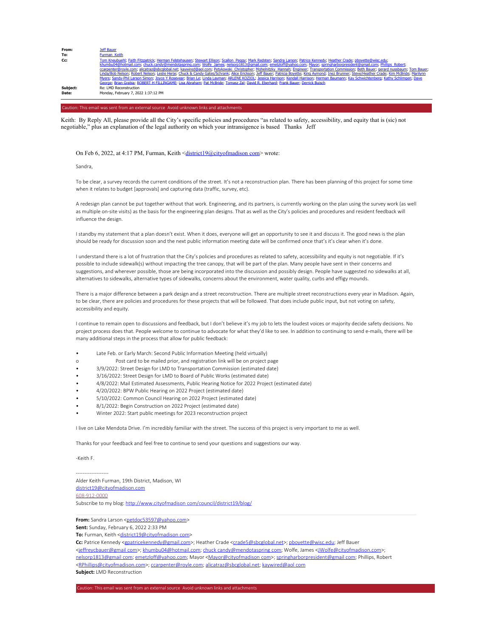| From:    | Jeff Bauer                                                                                                                                                                                                                                                                                                                                                                                |
|----------|-------------------------------------------------------------------------------------------------------------------------------------------------------------------------------------------------------------------------------------------------------------------------------------------------------------------------------------------------------------------------------------------|
| To:      | Furman Keith                                                                                                                                                                                                                                                                                                                                                                              |
| Cc:      | Tom Kneubuehl; Faith Fitzpatrick; Herman Felstehausen; Stewart Ellison; Scallon Peggy; Mark Redsten; Sandra Larson; Patrice Kennedy; Heather Crade; pboyette@wisc.edu;<br>khumbu04@hotmail.com; chuck.candy@mendotaspring.com; Wolfe James; nelsorp1813@qmail.com; emetzloff@yahoo.com; Mayor; springharborpresident@qmail.com; Phillips Robert;                                          |
|          | ccarpenter@royle.com; alicatraz@sbcqlobal.net; kaywired@aol.com; Petykowski_Christopher; Mohelnitzky_Hannah; Engineer; Transportation Commission; Beth Bauer; gerard nussbaum; Tom Bauer;                                                                                                                                                                                                 |
|          | Linda/Bob Nelson; Robert Nelson; Leslie Herje; Chuck & Candy Gates/Schrank; Alice Erickson; Jeff Bauer; Patricia Boyette; King Aymond; Inez Brunner; Steve/Heather Crade; Kim McBride; Marilynn<br>Myers; Sandy-Phil Larson Simon; Joyce Y Rosevear; Brian Le; Linda Layman; ARLENE KOZIOL; Jessica Harrison; Kendall Harrison; Herman Baumann; Kay Schwichtenberg; Kathy Schlimgen; Dave |
|          | George; Brian Grabia; ROBERT H FILLINGAME; Lisa Abraham; Pat McBride; Tomasz Zal; David R. Eberhard; Frank Bauer; Derrick Buisch                                                                                                                                                                                                                                                          |
| Subject: | Re: LMD Reconstruction                                                                                                                                                                                                                                                                                                                                                                    |
| Date:    | Monday, February 7, 2022 1:37:12 PM                                                                                                                                                                                                                                                                                                                                                       |
|          |                                                                                                                                                                                                                                                                                                                                                                                           |

## Caution: This email was sent from an external source Avoid unknown links and attachments

Keith: By Reply All, please provide all the City's specific policies and procedures "as related to safety, accessibility, and equity that is (sic) not negotiable," plus an explanation of the legal authority on which your intransigence is based Thanks Jeff

## On Feb 6, 2022, at 4:17 PM, Furman, Keith <district19@cityofmadison com> wrote:

Sandra,

To be clear, a survey records the current conditions of the street. It's not a reconstruction plan. There has been planning of this project for some time when it relates to budget [approvals] and capturing data (traffic, survey, etc).

A redesign plan cannot be put together without that work. Engineering, and its partners, is currently working on the plan using the survey work (as well as multiple on-site visits) as the basis for the engineering plan designs. That as well as the City's policies and procedures and resident feedback will influence the design.

I standby my statement that a plan doesn't exist. When it does, everyone will get an opportunity to see it and discuss it. The good news is the plan should be ready for discussion soon and the next public information meeting date will be confirmed once that's it's clear when it's done.

I understand there is a lot of frustration that the City's policies and procedures as related to safety, accessibility and equity is not negotiable. If it's possible to include sidewalk(s) without impacting the tree canopy, that will be part of the plan. Many people have sent in their concerns and suggestions, and wherever possible, those are being incorporated into the discussion and possibly design. People have suggested no sidewalks at all, alternatives to sidewalks, alternative types of sidewalks, concerns about the environment, water quality, curbs and effigy mounds.

There is a major difference between a park design and a street reconstruction. There are multiple street reconstructions every year in Madison. Again, to be clear, there are policies and procedures for these projects that will be followed. That does include public input, but not voting on safety, accessibility and equity.

I continue to remain open to discussions and feedback, but I don't believe it's my job to lets the loudest voices or majority decide safety decisions. No project process does that. People welcome to continue to advocate for what they'd like to see. In addition to continuing to send e-mails, there will be many additional steps in the process that allow for public feedback:

- Late Feb. or Early March: Second Public Information Meeting (held virtually)
- o Post card to be mailed prior, and registration link will be on project page
- 3/9/2022: Street Design for LMD to Transportation Commission (estimated date)
- 3/16/2022: Street Design for LMD to Board of Public Works (estimated date)
- 4/8/2022: Mail Estimated Assessments, Public Hearing Notice for 2022 Project (estimated date)
- 4/20/2022: BPW Public Hearing on 2022 Project (estimated date)
- 5/10/2022: Common Council Hearing on 2022 Project (estimated date)
- 8/1/2022: Begin Construction on 2022 Project (estimated date)
- Winter 2022: Start public meetings for 2023 reconstruction project

I live on Lake Mendota Drive. I'm incredibly familiar with the street. The success of this project is very important to me as well.

Thanks for your feedback and feel free to continue to send your questions and suggestions our way.

-Keith F.

-------------------

Alder Keith Furman, 19th District, Madison, WI district19@cityofmadison.com 608-912-0000 Subscribe to my blog: http://www.cityofmadison com/council/district19/blog/

From: Sandra Larson <petdoc53597@yahoo.com>

**Sent:** Sunday, February 6, 2022 2:33 PM

<jeffreycbauer@gmail com>; khumbu04@hotmail.com; chuck candy@mendotaspring com; Wolfe, James <JWolfe@cityofmadison.com>;

<RPhillips@cityofmadison.com>; ccarpenter@royle.com; alicatraz@sbcglobal.net; kaywired@aol com

**Subject:** LMD Reconstruction

**To:** Furman, Keith <district19@cityofmadis

Cc: Patrice Kennedy <gpatricekennedy@gmail.com>; Heather Crade <crade5@sbcglobal.net>; pboyette@wisc.edu; Jeff Bauer

nelsorp1813@gmail com; emetzloff@yahoo.com; Mayor <Mayor@cityofmadison com>; springharborpresident@gmail com; Phillips, Robert